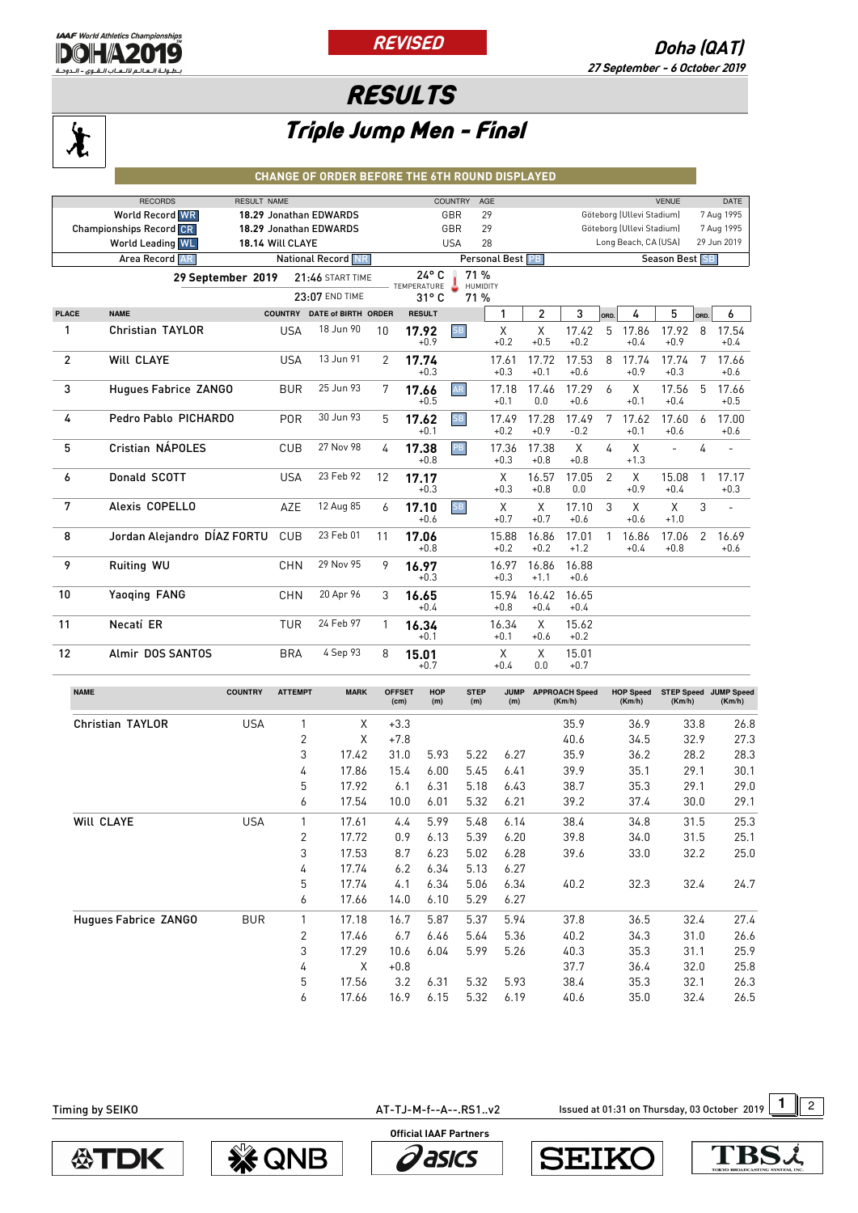

## **RESULTS**

## $\bigstar$

## Triple Jump Men - Final

## **CHANGE OF ORDER BEFORE THE 6TH ROUND DISPLAYED**

|                                             | <b>RECORDS</b><br><b>RESULT NAME</b> |                |                         |                  | <b>COUNTRY</b>                |                 | AGE             |                 |                                     |                |                           | <b>VENUE</b>    |      | DATE            |
|---------------------------------------------|--------------------------------------|----------------|-------------------------|------------------|-------------------------------|-----------------|-----------------|-----------------|-------------------------------------|----------------|---------------------------|-----------------|------|-----------------|
|                                             | <b>World Record WR</b>               |                | 18.29 Jonathan EDWARDS  |                  | GBR                           |                 | 29              |                 |                                     |                | Göteborg (Ullevi Stadium) |                 |      | 7 Aug 1995      |
|                                             | <b>Championships Record CR</b>       |                | 18.29 Jonathan EDWARDS  |                  | GBR                           |                 | 29              |                 |                                     |                | Göteborg (Ullevi Stadium) |                 |      | 7 Aug 1995      |
| <b>World Leading WL</b><br>18.14 Will CLAYE |                                      |                |                         | 28<br><b>USA</b> |                               |                 |                 |                 | Long Beach, CA (USA)<br>29 Jun 2019 |                |                           |                 |      |                 |
| <b>National Record NR</b><br>Area Record AR |                                      |                |                         |                  | Personal Best PB              |                 |                 |                 |                                     | Season Best SB |                           |                 |      |                 |
|                                             | 29 September 2019                    |                | <b>21:46 START TIME</b> |                  | $24^{\circ}$ C<br>TEMPERATURE | 71%<br>HUMIDITY |                 |                 |                                     |                |                           |                 |      |                 |
|                                             |                                      |                | 23:07 END TIME          |                  | 31°C                          | 71%             |                 |                 |                                     |                |                           |                 |      |                 |
| <b>PLACE</b>                                | <b>NAME</b>                          | <b>COUNTRY</b> | DATE of BIRTH ORDER     |                  | <b>RESULT</b>                 |                 | 1               | $\overline{c}$  | 3                                   | ORD.           | 4                         | 5               | ORD. | 6               |
| 1                                           | <b>Christian TAYLOR</b>              | <b>USA</b>     | 18 Jun 90               | 10               | 17.92<br>$+0.9$               | <b>SB</b>       | X<br>$+0.2$     | X<br>$+0.5$     | 17.42<br>$+0.2$                     | 5              | 17.86<br>$+0.4$           | 17.92<br>$+0.9$ | 8    | 17.54<br>$+0.4$ |
| $\overline{2}$                              | <b>WILL CLAYE</b>                    | <b>USA</b>     | 13 Jun 91               | 2                | 17.74<br>$+0.3$               |                 | 17.61<br>$+0.3$ | 17.72<br>$+0.1$ | 17.53<br>$+0.6$                     | 8              | 17.74<br>$+0.9$           | 17.74<br>$+0.3$ | 7    | 17.66<br>$+0.6$ |
| 3                                           | Hugues Fabrice ZANGO                 | <b>BUR</b>     | 25 Jun 93               | 7                | 17.66<br>$+0.5$               | AR              | 17.18<br>$+0.1$ | 17.46<br>0.0    | 17.29<br>$+0.6$                     | 6              | X<br>$+0.1$               | 17.56<br>$+0.4$ | 5    | 17.66<br>$+0.5$ |
| 4                                           | Pedro Pablo PICHARDO                 | <b>POR</b>     | 30 Jun 93               | 5                | 17.62<br>$+0.1$               | <b>SB</b>       | 17.49<br>$+0.2$ | 17.28<br>$+0.9$ | 17.49<br>$-0.2$                     | 7              | 17.62<br>$+0.1$           | 17.60<br>$+0.6$ | 6    | 17.00<br>$+0.6$ |
| 5                                           | Cristian NÁPOLES                     | CUB            | 27 Nov 98               | 4                | 17.38<br>$+0.8$               | PB              | 17.36<br>$+0.3$ | 17.38<br>$+0.8$ | X<br>$+0.8$                         | 4              | X<br>$+1.3$               | $\overline{a}$  | 4    | $\overline{a}$  |
| 6                                           | Donald SCOTT                         | <b>USA</b>     | 23 Feb 92               | 12               | 17.17<br>$+0.3$               |                 | X<br>$+0.3$     | 16.57<br>$+0.8$ | 17.05<br>0.0                        | $\overline{2}$ | X<br>$+0.9$               | 15.08<br>$+0.4$ | 1    | 17.17<br>$+0.3$ |
| 7                                           | Alexis COPELLO                       | AZE            | 12 Aug 85               | 6                | 17.10<br>$+0.6$               | <b>SB</b>       | X<br>$+0.7$     | X<br>$+0.7$     | 17.10<br>$+0.6$                     | 3              | X<br>$+0.6$               | X<br>$+1.0$     | 3    | $\overline{a}$  |
| 8                                           | Jordan Alejandro DÍAZ FORTU          | <b>CUB</b>     | 23 Feb 01               | 11               | 17.06<br>$+0.8$               |                 | 15.88<br>$+0.2$ | 16.86<br>$+0.2$ | 17.01<br>$+1.2$                     | 1              | 16.86<br>$+0.4$           | 17.06<br>$+0.8$ | 2    | 16.69<br>$+0.6$ |
| 9                                           | Ruiting WU                           | <b>CHN</b>     | 29 Nov 95               | 9                | 16.97<br>$+0.3$               |                 | 16.97<br>$+0.3$ | 16.86<br>$+1.1$ | 16.88<br>$+0.6$                     |                |                           |                 |      |                 |
| 10                                          | Yaoging FANG                         | <b>CHN</b>     | 20 Apr 96               | 3                | 16.65<br>$+0.4$               |                 | 15.94<br>$+0.8$ | 16.42<br>$+0.4$ | 16.65<br>$+0.4$                     |                |                           |                 |      |                 |
| 11                                          | Necatí ER                            | <b>TUR</b>     | 24 Feb 97               | 1                | 16.34<br>$+0.1$               |                 | 16.34<br>$+0.1$ | X<br>$+0.6$     | 15.62<br>$+0.2$                     |                |                           |                 |      |                 |
| 12                                          | Almir DOS SANTOS                     | <b>BRA</b>     | 4 Sep 93                | 8                | 15.01<br>$+0.7$               |                 | X<br>$+0.4$     | X<br>0.0        | 15.01<br>$+0.7$                     |                |                           |                 |      |                 |

| <b>NAME</b>             | <b>COUNTRY</b> | <b>ATTEMPT</b> | <b>MARK</b> | <b>OFFSET</b><br>(cm) | <b>HOP</b><br>(m) | <b>STEP</b><br>(m) | <b>JUMP</b><br>(m) | <b>APPROACH Speed</b><br>(Km/h) | <b>HOP Speed</b><br>(Km/h) | <b>STEP Speed</b><br>(Km/h) | <b>JUMP Speed</b><br>(Km/h) |
|-------------------------|----------------|----------------|-------------|-----------------------|-------------------|--------------------|--------------------|---------------------------------|----------------------------|-----------------------------|-----------------------------|
| <b>Christian TAYLOR</b> | <b>USA</b>     |                | X           | $+3.3$                |                   |                    |                    | 35.9                            | 36.9                       | 33.8                        | 26.8                        |
|                         |                | $\overline{2}$ | Χ           | $+7.8$                |                   |                    |                    | 40.6                            | 34.5                       | 32.9                        | 27.3                        |
|                         |                | 3              | 17.42       | 31.0                  | 5.93              | 5.22               | 6.27               | 35.9                            | 36.2                       | 28.2                        | 28.3                        |
|                         |                | 4              | 17.86       | 15.4                  | 6.00              | 5.45               | 6.41               | 39.9                            | 35.1                       | 29.1                        | 30.1                        |
|                         |                | 5              | 17.92       | 6.1                   | 6.31              | 5.18               | 6.43               | 38.7                            | 35.3                       | 29.1                        | 29.0                        |
|                         |                | 6              | 17.54       | 10.0                  | 6.01              | 5.32               | 6.21               | 39.2                            | 37.4                       | 30.0                        | 29.1                        |
| Will CLAYE              | <b>USA</b>     | 1              | 17.61       | 4.4                   | 5.99              | 5.48               | 6.14               | 38.4                            | 34.8                       | 31.5                        | 25.3                        |
|                         |                | 2              | 17.72       | 0.9                   | 6.13              | 5.39               | 6.20               | 39.8                            | 34.0                       | 31.5                        | 25.1                        |
|                         |                | 3              | 17.53       | 8.7                   | 6.23              | 5.02               | 6.28               | 39.6                            | 33.0                       | 32.2                        | 25.0                        |
|                         |                | 4              | 17.74       | 6.2                   | 6.34              | 5.13               | 6.27               |                                 |                            |                             |                             |
|                         |                | 5              | 17.74       | 4.1                   | 6.34              | 5.06               | 6.34               | 40.2                            | 32.3                       | 32.4                        | 24.7                        |
|                         |                | 6              | 17.66       | 14.0                  | 6.10              | 5.29               | 6.27               |                                 |                            |                             |                             |
| Hugues Fabrice ZANGO    | <b>BUR</b>     | $\mathbf{1}$   | 17.18       | 16.7                  | 5.87              | 5.37               | 5.94               | 37.8                            | 36.5                       | 32.4                        | 27.4                        |
|                         |                | 2              | 17.46       | 6.7                   | 6.46              | 5.64               | 5.36               | 40.2                            | 34.3                       | 31.0                        | 26.6                        |
|                         |                | 3              | 17.29       | 10.6                  | 6.04              | 5.99               | 5.26               | 40.3                            | 35.3                       | 31.1                        | 25.9                        |
|                         |                | 4              | Χ           | $+0.8$                |                   |                    |                    | 37.7                            | 36.4                       | 32.0                        | 25.8                        |
|                         |                | 5              | 17.56       | 3.2                   | 6.31              | 5.32               | 5.93               | 38.4                            | 35.3                       | 32.1                        | 26.3                        |
|                         |                | 6              | 17.66       | 16.9                  | 6.15              | 5.32               | 6.19               | 40.6                            | 35.0                       | 32.4                        | 26.5                        |

AT-TJ-M-f--A--.RS1..v2 **1** Issued at 01:31 on Thursday, 03 October 2019 12

**公TDK**